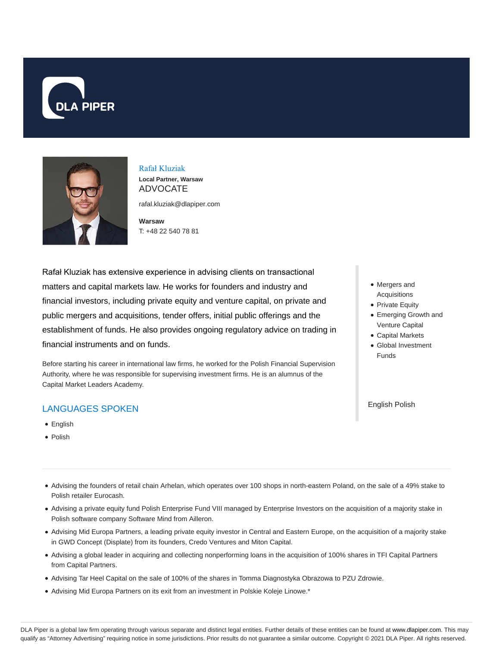



### Rafał Kluziak

**Local Partner, Warsaw** ADVOCATE

rafal.kluziak@dlapiper.com

**Warsaw** T: +48 22 540 78 81

Rafał Kluziak has extensive experience in advising clients on transactional matters and capital markets law. He works for founders and industry and financial investors, including private equity and venture capital, on private and public mergers and acquisitions, tender offers, initial public offerings and the establishment of funds. He also provides ongoing regulatory advice on trading in financial instruments and on funds.

Before starting his career in international law firms, he worked for the Polish Financial Supervision Authority, where he was responsible for supervising investment firms. He is an alumnus of the Capital Market Leaders Academy.

# LANGUAGES SPOKEN

- **•** English
- Polish
- Mergers and Acquisitions
- Private Equity
- Emerging Growth and Venture Capital
- Capital Markets
- Global Investment Funds

English Polish

- Advising the founders of retail chain Arhelan, which operates over 100 shops in north-eastern Poland, on the sale of a 49% stake to Polish retailer Eurocash.
- Advising a private equity fund Polish Enterprise Fund VIII managed by Enterprise Investors on the acquisition of a majority stake in Polish software company Software Mind from Ailleron.
- Advising Mid Europa Partners, a leading private equity investor in Central and Eastern Europe, on the acquisition of a majority stake in GWD Concept (Displate) from its founders, Credo Ventures and Miton Capital.
- Advising a global leader in acquiring and collecting nonperforming loans in the acquisition of 100% shares in TFI Capital Partners from Capital Partners.
- Advising Tar Heel Capital on the sale of 100% of the shares in Tomma Diagnostyka Obrazowa to PZU Zdrowie.
- Advising Mid Europa Partners on its exit from an investment in Polskie Koleje Linowe.\*

DLA Piper is a global law firm operating through various separate and distinct legal entities. Further details of these entities can be found at www.dlapiper.com. This may qualify as "Attorney Advertising" requiring notice in some jurisdictions. Prior results do not guarantee a similar outcome. Copyright © 2021 DLA Piper. All rights reserved.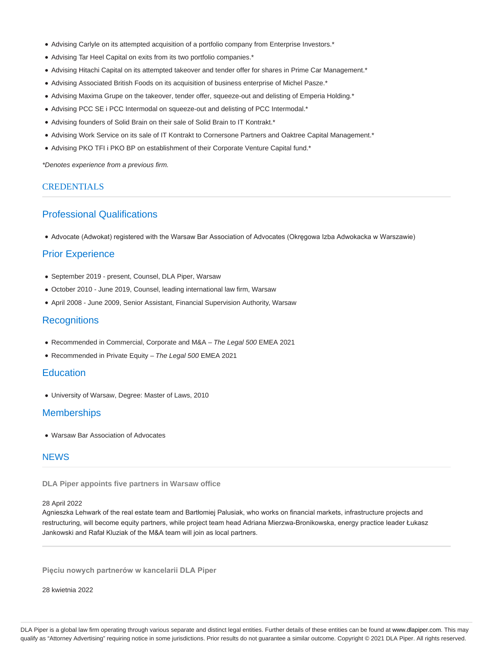- Advising Carlyle on its attempted acquisition of a portfolio company from Enterprise Investors.\*
- Advising Tar Heel Capital on exits from its two portfolio companies.\*
- Advising Hitachi Capital on its attempted takeover and tender offer for shares in Prime Car Management.\*
- Advising Associated British Foods on its acquisition of business enterprise of Michel Pasze.\*
- Advising Maxima Grupe on the takeover, tender offer, squeeze-out and delisting of Emperia Holding.\*
- Advising PCC SE i PCC Intermodal on squeeze-out and delisting of PCC Intermodal.\*
- Advising founders of Solid Brain on their sale of Solid Brain to IT Kontrakt.\*
- Advising Work Service on its sale of IT Kontrakt to Cornersone Partners and Oaktree Capital Management.\*
- Advising PKO TFI i PKO BP on establishment of their Corporate Venture Capital fund.\*

\*Denotes experience from a previous firm.

### CREDENTIALS

# Professional Qualifications

Advocate (Adwokat) registered with the Warsaw Bar Association of Advocates (Okręgowa Izba Adwokacka w Warszawie)

# Prior Experience

- September 2019 present, Counsel, DLA Piper, Warsaw
- October 2010 June 2019, Counsel, leading international law firm, Warsaw
- April 2008 June 2009, Senior Assistant, Financial Supervision Authority, Warsaw

# **Recognitions**

- Recommended in Commercial, Corporate and M&A The Legal 500 EMEA 2021
- Recommended in Private Equity The Legal 500 EMEA 2021

# **Education**

University of Warsaw, Degree: Master of Laws, 2010

# **Memberships**

Warsaw Bar Association of Advocates

# **NEWS**

### **DLA Piper appoints five partners in Warsaw office**

#### 28 April 2022

Agnieszka Lehwark of the real estate team and Bartłomiej Palusiak, who works on financial markets, infrastructure projects and restructuring, will become equity partners, while project team head Adriana Mierzwa-Bronikowska, energy practice leader Łukasz Jankowski and Rafał Kluziak of the M&A team will join as local partners.

**Pięciu nowych partnerów w kancelarii DLA Piper**

28 kwietnia 2022

DLA Piper is a global law firm operating through various separate and distinct legal entities. Further details of these entities can be found at www.dlapiper.com. This may qualify as "Attorney Advertising" requiring notice in some jurisdictions. Prior results do not guarantee a similar outcome. Copyright © 2021 DLA Piper. All rights reserved.